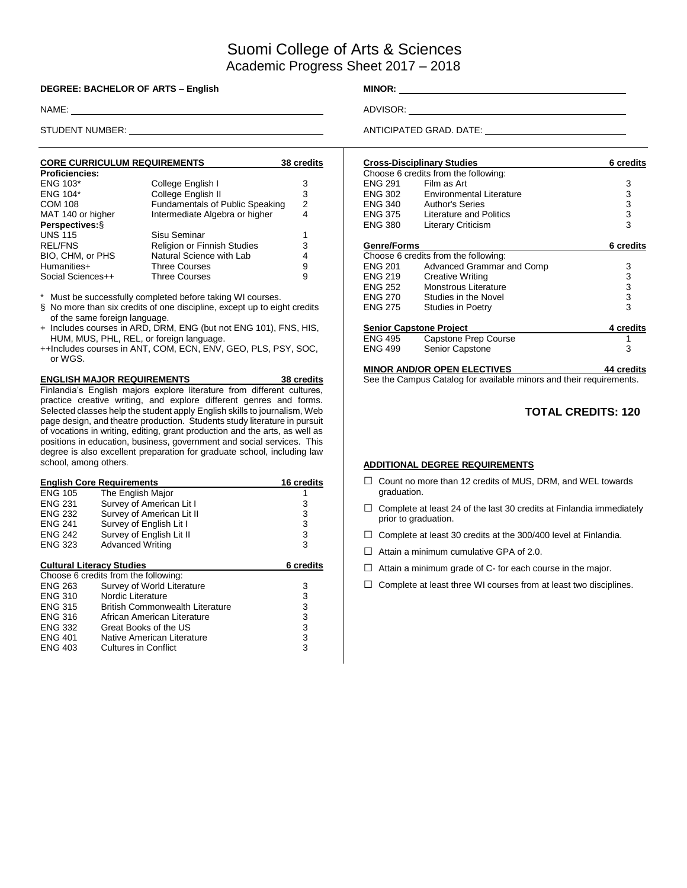# Suomi College of Arts & Sciences Academic Progress Sheet 2017 – 2018

#### **DEGREE: BACHELOR OF ARTS – English MINOR:** \_\_\_\_\_

NAME: ADVISOR:

| <b>CORE CURRICULUM REQUIREMENTS</b> |                                 | 38 credits |
|-------------------------------------|---------------------------------|------------|
| <b>Proficiencies:</b>               |                                 |            |
| <b>ENG 103*</b>                     | College English I               | 3          |
| <b>ENG 104*</b>                     | College English II              | 3          |
| <b>COM 108</b>                      | Fundamentals of Public Speaking | 2          |
| MAT 140 or higher                   | Intermediate Algebra or higher  | 4          |
| Perspectives: §                     |                                 |            |
| <b>UNS 115</b>                      | Sisu Seminar                    |            |
| <b>REL/FNS</b>                      | Religion or Finnish Studies     | 3          |
| BIO, CHM, or PHS                    | Natural Science with Lab        | 4          |
| Humanities+                         | <b>Three Courses</b>            | 9          |
| Social Sciences++                   | <b>Three Courses</b>            | 9          |

Must be successfully completed before taking WI courses.

- § No more than six credits of one discipline, except up to eight credits of the same foreign language.
- + Includes courses in ARD, DRM, ENG (but not ENG 101), FNS, HIS, HUM, MUS, PHL, REL, or foreign language.
- ++Includes courses in ANT, COM, ECN, ENV, GEO, PLS, PSY, SOC, or WGS.

**ENGLISH MAJOR REQUIREMENTS 38 credits** Finlandia's English majors explore literature from different cultures, practice creative writing, and explore different genres and forms. Selected classes help the student apply English skills to journalism, Web page design, and theatre production. Students study literature in pursuit of vocations in writing, editing, grant production and the arts, as well as positions in education, business, government and social services. This degree is also excellent preparation for graduate school, including law school, among others.

|                | <b>English Core Requirements</b>       | 16 credits |
|----------------|----------------------------------------|------------|
| <b>ENG 105</b> | The English Major                      |            |
| <b>ENG 231</b> | Survey of American Lit I               | 3          |
| <b>ENG 232</b> | Survey of American Lit II              | 3          |
| <b>ENG 241</b> | Survey of English Lit I                | 3          |
| <b>ENG 242</b> | Survey of English Lit II               | 3          |
| <b>ENG 323</b> | <b>Advanced Writing</b>                | 3          |
|                | <b>Cultural Literacy Studies</b>       | 6 credits  |
|                | Choose 6 credits from the following:   |            |
| <b>ENG 263</b> | Survey of World Literature             | 3          |
| <b>ENG 310</b> | Nordic Literature                      | 3          |
| <b>ENG 315</b> | <b>British Commonwealth Literature</b> | 3          |
| <b>ENG 316</b> | African American Literature            | 3          |
| <b>ENG 332</b> | Great Books of the US                  | 3          |
| <b>ENG 401</b> | Native American Literature             | 3          |
| <b>ENG 403</b> | Cultures in Conflict                   | 3          |

STUDENT NUMBER: <u>ANTICIPATED GRAD.</u> DATE:

|                                | <b>Cross-Disciplinary Studies</b>    | 6 credits  |
|--------------------------------|--------------------------------------|------------|
|                                | Choose 6 credits from the following: |            |
| <b>ENG 291</b>                 | Film as Art                          | 3          |
| <b>ENG 302</b>                 | Environmental Literature             | 3          |
| ENG 340                        | <b>Author's Series</b>               | 3          |
| ENG 375                        | Literature and Politics              | 3          |
| <b>ENG 380</b>                 | <b>Literary Criticism</b>            | 3          |
| <b>Genre/Forms</b>             |                                      | 6 credits  |
|                                | Choose 6 credits from the following: |            |
| <b>ENG 201</b>                 | Advanced Grammar and Comp            | 3          |
| <b>ENG 219</b>                 | Creative Writing                     | 3          |
| ENG 252                        | Monstrous Literature                 | 3          |
| <b>ENG 270</b>                 | Studies in the Novel                 | 3          |
| <b>ENG 275</b>                 | Studies in Poetry                    | 3          |
| <b>Senior Capstone Project</b> | 4 credits                            |            |
| ENG 495                        | Capstone Prep Course                 | 1          |
| <b>ENG 499</b>                 | Senior Capstone                      | 3          |
|                                | <b>MINOR AND/OR OPEN ELECTIVES</b>   | 44 credits |

See the Campus Catalog for available minors and their requirements.

### **TOTAL CREDITS: 120**

#### **ADDITIONAL DEGREE REQUIREMENTS**

- □ Count no more than 12 credits of MUS, DRM, and WEL towards graduation.
- $\Box$  Complete at least 24 of the last 30 credits at Finlandia immediately prior to graduation.
- $\Box$  Complete at least 30 credits at the 300/400 level at Finlandia.
- $\Box$  Attain a minimum cumulative GPA of 2.0.
- $\Box$  Attain a minimum grade of C- for each course in the major.
- $\Box$  Complete at least three WI courses from at least two disciplines.